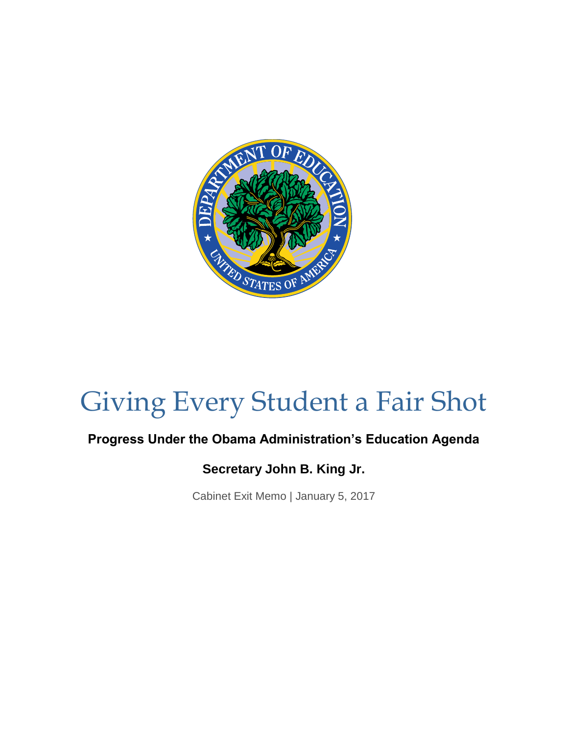

# Giving Every Student a Fair Shot

### **Progress Under the Obama Administration's Education Agenda**

### **Secretary John B. King Jr.**

Cabinet Exit Memo | January 5, 2017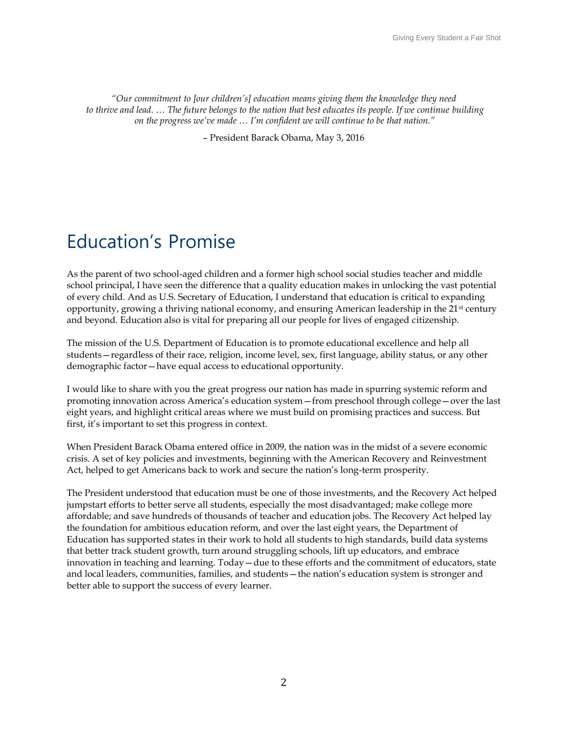*"Our commitment to [our children's] education means giving them the knowledge they need to thrive and lead.* … The future belongs to the nation that best educates its people. If we continue building *on the progress we've made … I'm confident we will continue to be that nation."* 

– President Barack Obama, May 3, 2016

## Education's Promise

As the parent of two school-aged children and a former high school social studies teacher and middle school principal, I have seen the difference that a quality education makes in unlocking the vast potential of every child. And as U.S. Secretary of Education, I understand that education is critical to expanding opportunity, growing a thriving national economy, and ensuring American leadership in the 21<sup>st</sup> century and beyond. Education also is vital for preparing all our people for lives of engaged citizenship.

The mission of the U.S. Department of Education is to promote educational excellence and help all students—regardless of their race, religion, income level, sex, first language, ability status, or any other demographic factor—have equal access to educational opportunity.

I would like to share with you the great progress our nation has made in spurring systemic reform and promoting innovation across America's education system—from preschool through college—over the last eight years, and highlight critical areas where we must build on promising practices and success. But first, it's important to set this progress in context.

When President Barack Obama entered office in 2009, the nation was in the midst of a severe economic crisis. A set of key policies and investments, beginning with the American Recovery and Reinvestment Act, helped to get Americans back to work and secure the nation's long-term prosperity.

The President understood that education must be one of those investments, and the Recovery Act helped jumpstart efforts to better serve all students, especially the most disadvantaged; make college more affordable; and save hundreds of thousands of teacher and education jobs. The Recovery Act helped lay the foundation for ambitious education reform, and over the last eight years, the Department of Education has supported states in their work to hold all students to high standards, build data systems that better track student growth, turn around struggling schools, lift up educators, and embrace innovation in teaching and learning. Today—due to these efforts and the commitment of educators, state and local leaders, communities, families, and students—the nation's education system is stronger and better able to support the success of every learner.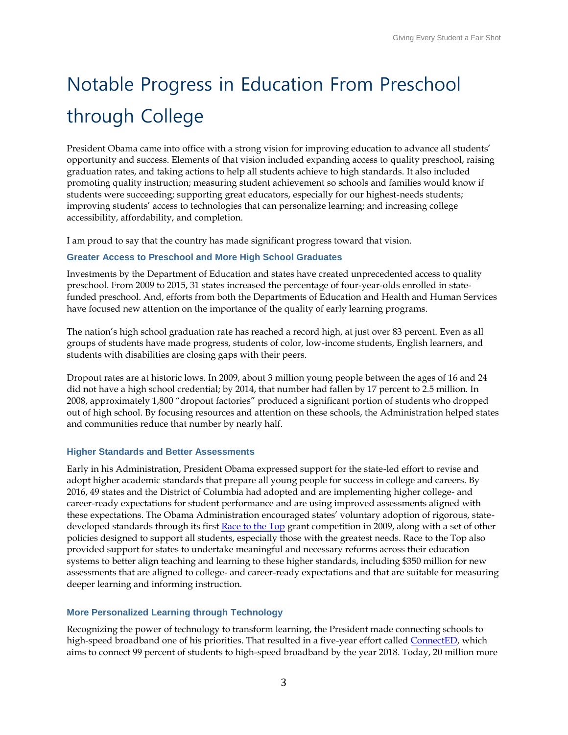# Notable Progress in Education From Preschool through College

President Obama came into office with a strong vision for improving education to advance all students' opportunity and success. Elements of that vision included expanding access to quality preschool, raising graduation rates, and taking actions to help all students achieve to high standards. It also included promoting quality instruction; measuring student achievement so schools and families would know if students were succeeding; supporting great educators, especially for our highest-needs students; improving students' access to technologies that can personalize learning; and increasing college accessibility, affordability, and completion.

I am proud to say that the country has made significant progress toward that vision.

#### **Greater Access to Preschool and More High School Graduates**

Investments by the Department of Education and states have created unprecedented access to quality preschool. From 2009 to 2015, 31 states increased the percentage of four-year-olds enrolled in statefunded preschool. And, efforts from both the Departments of Education and Health and Human Services have focused new attention on the importance of the quality of early learning programs.

The nation's high school graduation rate has reached a record high, at just over 83 percent. Even as all groups of students have made progress, students of color, low-income students, English learners, and students with disabilities are closing gaps with their peers.

Dropout rates are at historic lows. In 2009, about 3 million young people between the ages of 16 and 24 did not have a high school credential; by 2014, that number had fallen by 17 percent to 2.5 million. In 2008, approximately 1,800 "dropout factories" produced a significant portion of students who dropped out of high school. By focusing resources and attention on these schools, the Administration helped states and communities reduce that number by nearly half.

#### **Higher Standards and Better Assessments**

Early in his Administration, President Obama expressed support for the state-led effort to revise and adopt higher academic standards that prepare all young people for success in college and careers. By 2016, 49 states and the District of Columbia had adopted and are implementing higher college- and career-ready expectations for student performance and are using improved assessments aligned with these expectations. The Obama Administration encouraged states' voluntary adoption of rigorous, state-developed standards through its first [Race to the Top](http://www2.ed.gov/programs/racetothetop/index.html) grant competition in 2009, along with a set of other policies designed to support all students, especially those with the greatest needs. Race to the Top also provided support for states to undertake meaningful and necessary reforms across their education systems to better align teaching and learning to these higher standards, including \$350 million for new assessments that are aligned to college- and career-ready expectations and that are suitable for measuring deeper learning and informing instruction.

#### **More Personalized Learning through Technology**

Recognizing the power of technology to transform learning, the President made connecting schools to high-speed broadband one of his priorities. That resulted in a five-year effort calle[d ConnectED,](https://www.whitehouse.gov/issues/education/k-12/connected) which aims to connect 99 percent of students to high-speed broadband by the year 2018. Today, 20 million more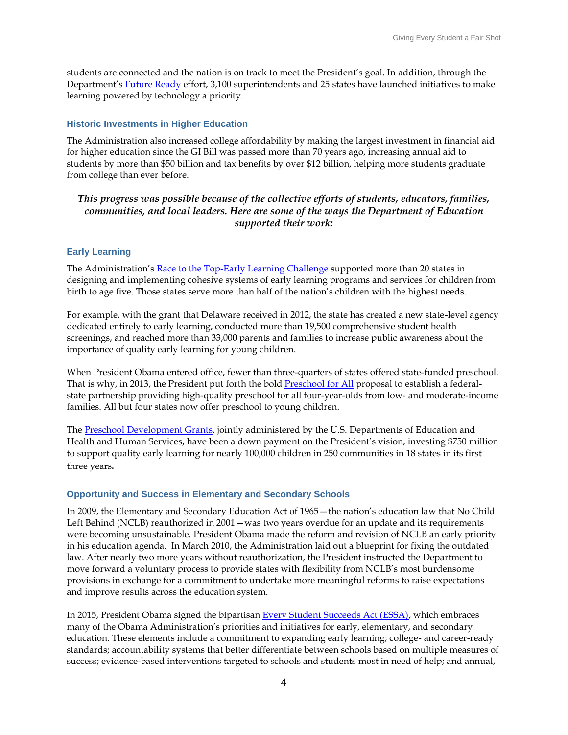students are connected and the nation is on track to meet the President's goal. In addition, through the Department's [Future Ready](http://futureready.org/) effort, 3,100 superintendents and 25 states have launched initiatives to make learning powered by technology a priority.

#### **Historic Investments in Higher Education**

The Administration also increased college affordability by making the largest investment in financial aid for higher education since the GI Bill was passed more than 70 years ago, increasing annual aid to students by more than \$50 billion and tax benefits by over \$12 billion, helping more students graduate from college than ever before.

#### *This progress was possible because of the collective efforts of students, educators, families, communities, and local leaders. Here are some of the ways the Department of Education supported their work:*

#### **[Early Learning](https://medium.com/giving-every-child-a-fair-shot/quality-preschool-providing-every-child-with-a-strong-start-1ca89ac1ef24#.fb5l1y3of)**

The Administration's [Race to the Top-Early Learning Challenge](http://www2.ed.gov/programs/racetothetop-earlylearningchallenge/index.html) supported more than 20 states in designing and implementing cohesive systems of early learning programs and services for children from birth to age five. Those states serve more than half of the nation's children with the highest needs.

For example, with the grant that Delaware received in 2012, the state has created a new state-level agency dedicated entirely to early learning, conducted more than 19,500 comprehensive student health screenings, and reached more than 33,000 parents and families to increase public awareness about the importance of quality early learning for young children.

When President Obama entered office, fewer than three-quarters of states offered state-funded preschool. That is why, in 2013, the President put forth the bold [Preschool for All](https://www.whitehouse.gov/issues/education/early-childhood) proposal to establish a federalstate partnership providing high-quality preschool for all four-year-olds from low- and moderate-income families. All but four states now offer preschool to young children.

The [Preschool Development Grants,](http://www2.ed.gov/programs/preschooldevelopmentgrants/index.html) jointly administered by the U.S. Departments of Education and Health and Human Services, have been a down payment on the President's vision, investing \$750 million to support quality early learning for nearly 100,000 children in 250 communities in 18 states in its first three years.

#### **[Opportunity and Success in Elementary and Secondary Schools](https://medium.com/giving-every-child-a-fair-shot/advancing-opportunity-and-success-in-elementary-and-secondary-schools-bd813be0046f#.2vew4n8jh)**

In 2009, the Elementary and Secondary Education Act of 1965—the nation's education law that No Child Left Behind (NCLB) reauthorized in 2001 — was two years overdue for an update and its requirements were becoming unsustainable. President Obama made the reform and revision of NCLB an early priority in his education agenda. In March 2010, the Administration laid out a blueprint for fixing the outdated law. After nearly two more years without reauthorization, the President instructed the Department to move forward a voluntary process to provide states with flexibility from NCLB's most burdensome provisions in exchange for a commitment to undertake more meaningful reforms to raise expectations and improve results across the education system.

In 2015, President Obama signed the bipartisan [Every Student Succeeds Act \(ESSA\),](http://www.ed.gov/essa) which embraces many of the Obama Administration's priorities and initiatives for early, elementary, and secondary education. These elements include a commitment to expanding early learning; college- and career-ready standards; accountability systems that better differentiate between schools based on multiple measures of success; evidence-based interventions targeted to schools and students most in need of help; and annual,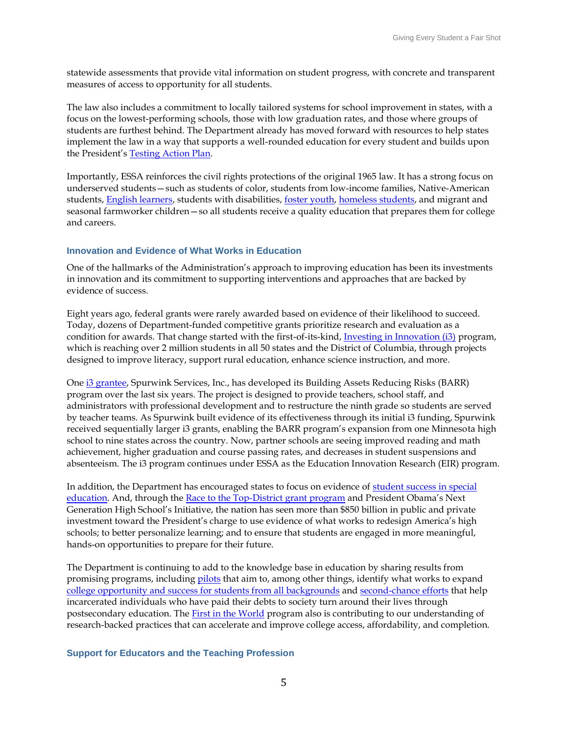statewide assessments that provide vital information on student progress, with concrete and transparent measures of access to opportunity for all students.

The law also includes a commitment to locally tailored systems for school improvement in states, with a focus on the lowest-performing schools, those with low graduation rates, and those where groups of students are furthest behind. The Department already has moved forward with resources to help states implement the law in a way that supports a well-rounded education for every student and builds upon the President's [Testing Action Plan.](http://www.ed.gov/news/press-releases/fact-sheet-testing-action-plan)

Importantly, ESSA reinforces the civil rights protections of the original 1965 law. It has a strong focus on underserved students—such as students of color, students from low-income families, Native-American students[, English learners,](http://www.ed.gov/news/press-releases/us-department-education-releases-guidance-english-learners) students with disabilities, [foster youth,](http://www.ed.gov/news/press-releases/us-departments-education-and-health-and-human-services-release-joint-guidance-foster-youth) [homeless students,](http://www.ed.gov/news/press-releases/education-department-releases-guidance-homeless-children-and-youth) and migrant and seasonal farmworker children—so all students receive a quality education that prepares them for college and careers.

#### **[Innovation and Evidence of What Works in Education](http://innovation.ed.gov/)**

One of the hallmarks of the Administration's approach to improving education has been its investments in innovation and its commitment to supporting interventions and approaches that are backed by evidence of success.

Eight years ago, federal grants were rarely awarded based on evidence of their likelihood to succeed. Today, dozens of Department-funded competitive grants prioritize research and evaluation as a condition for awards. That change started with the first-of-its-kind, [Investing in Innovation \(i3\)](http://www2.ed.gov/programs/innovation/index.html) program, which is reaching over 2 million students in all 50 states and the District of Columbia, through projects designed to improve literacy, support rural education, enhance science instruction, and more.

One [i3 grantee,](https://i3community.ed.gov/i3-profiles/382) Spurwink Services, Inc., has developed its Building Assets Reducing Risks (BARR) program over the last six years. The project is designed to provide teachers, school staff, and administrators with professional development and to restructure the ninth grade so students are served by teacher teams. As Spurwink built evidence of its effectiveness through its initial i3 funding, Spurwink received sequentially larger i3 grants, enabling the BARR program's expansion from one Minnesota high school to nine states across the country. Now, partner schools are seeing improved reading and math achievement, higher graduation and course passing rates, and decreases in student suspensions and absenteeism. The i3 program continues under ESSA as the Education Innovation Research (EIR) program.

In addition, the Department has encouraged states to focus on evidence of [student success in special](http://www2.ed.gov/about/offices/list/osers/osep/rda/index.html?exp=7)  [education.](http://www2.ed.gov/about/offices/list/osers/osep/rda/index.html?exp=7) And, through the [Race to the Top-District grant program](http://www2.ed.gov/programs/racetothetop-district/index.html) and President Obama's Next Generation High School's Initiative, the nation has seen more than \$850 billion in public and private investment toward the President's charge to use evidence of what works to redesign America's high schools; to better personalize learning; and to ensure that students are engaged in more meaningful, hands-on opportunities to prepare for their future.

The Department is continuing to add to the knowledge base in education by sharing results from promising programs, including [pilots](https://www.federalregister.gov/articles/2016/08/15/2016-19297/notice-inviting-postsecondary-educational-institutions-to-participate-in-experiments-under-the) that aim to, among other things, identify what works to expand [college opportunity and success for students from all backgrounds](http://www.ed.gov/news/press-releases/fact-sheet-expanding-college-access-through-dual-enrollment-pell-experiment.) and [second-chance efforts](http://www.ed.gov/news/press-releases/12000-incarcerated-students-enroll-postsecondary-educational-and-training-programs-through-education-departments-new-second-chance-pell-pilot-program) that help incarcerated individuals who have paid their debts to society turn around their lives through postsecondary education. The [First in the World](http://www2.ed.gov/programs/fitw/index.html) program also is contributing to our understanding of research-backed practices that can accelerate and improve college access, affordability, and completion.

#### **[Support for Educators and the Teaching Profession](https://medium.com/giving-every-child-a-fair-shot/elevating-the-teaching-profession-and-supporting-educators-nationwide-e7ce7d93713e#.d6b5om5sv)**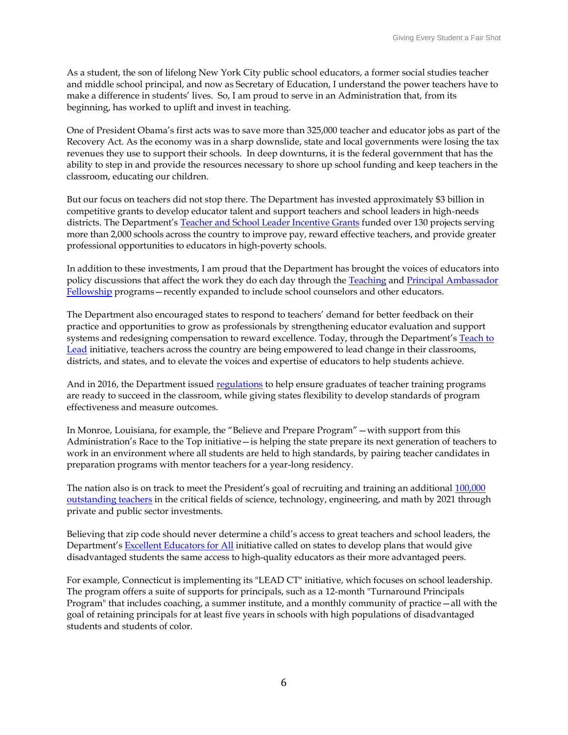As a student, the son of lifelong New York City public school educators, a former social studies teacher and middle school principal, and now as Secretary of Education, I understand the power teachers have to make a difference in students' lives. So, I am proud to serve in an Administration that, from its beginning, has worked to uplift and invest in teaching.

One of President Obama's first acts was to save more than 325,000 teacher and educator jobs as part of the Recovery Act. As the economy was in a sharp downslide, state and local governments were losing the tax revenues they use to support their schools. In deep downturns, it is the federal government that has the ability to step in and provide the resources necessary to shore up school funding and keep teachers in the classroom, educating our children.

But our focus on teachers did not stop there. The Department has invested approximately \$3 billion in competitive grants to develop educator talent and support teachers and school leaders in high-needs districts. The Department's [Teacher and School Leader Incentive Grants](http://www2.ed.gov/programs/teacherincentive/index.html) funded over 130 projects serving more than 2,000 schools across the country to improve pay, reward effective teachers, and provide greater professional opportunities to educators in high-poverty schools.

In addition to these investments, I am proud that the Department has brought the voices of educators into policy discussions that affect the work they do each day through the [Teaching](http://www2.ed.gov/programs/teacherfellowship/index.html) and Principal Ambassador [Fellowship](http://www2.ed.gov/programs/principalfellowship/index.html) programs—recently expanded to include school counselors and other educators.

The Department also encouraged states to respond to teachers' demand for better feedback on their practice and opportunities to grow as professionals by strengthening educator evaluation and support systems and redesigning compensation to reward excellence. Today, through the Department's Teach to [Lead](http://teachtolead.org/) initiative, teachers across the country are being empowered to lead change in their classrooms, districts, and states, and to elevate the voices and expertise of educators to help students achieve.

And in 2016, the Department issued [regulations](http://www.ed.gov/news/press-releases/education-department-releases-final-teacher-preparation-regulations) to help ensure graduates of teacher training programs are ready to succeed in the classroom, while giving states flexibility to develop standards of program effectiveness and measure outcomes.

In Monroe, Louisiana, for example, the "Believe and Prepare Program"—with support from this Administration's Race to the Top initiative—is helping the state prepare its next generation of teachers to work in an environment where all students are held to high standards, by pairing teacher candidates in preparation programs with mentor teachers for a year-long residency.

The nation also is on track to meet the President's goal of recruiting and training an additional [100,000](https://medium.com/giving-every-child-a-fair-shot/making-science-technology-engineering-and-math-education-a-national-priority-6531ef9adbdf#.qklpp0cnx)  [outstanding teachers](https://medium.com/giving-every-child-a-fair-shot/making-science-technology-engineering-and-math-education-a-national-priority-6531ef9adbdf#.qklpp0cnx) in the critical fields of science, technology, engineering, and math by 2021 through private and public sector investments.

Believing that zip code should never determine a child's access to great teachers and school leaders, the Department's [Excellent Educators for All](http://www.ed.gov/news/press-releases/new-initiative-provide-all-students-access-great-educators) initiative called on states to develop plans that would give disadvantaged students the same access to high-quality educators as their more advantaged peers.

For example, Connecticut is implementing its "LEAD CT" initiative, which focuses on school leadership. The program offers a suite of supports for principals, such as a 12-month "Turnaround Principals Program" that includes coaching, a summer institute, and a monthly community of practice—all with the goal of retaining principals for at least five years in schools with high populations of disadvantaged students and students of color.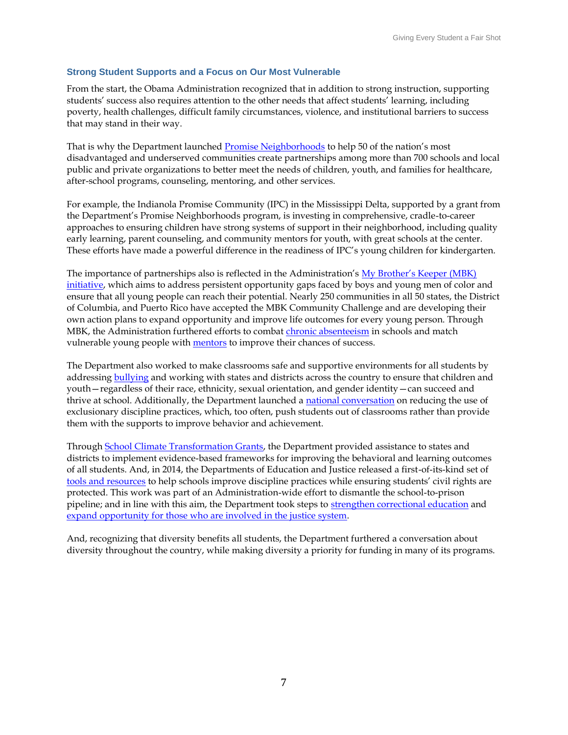#### **[Strong Student Supports and a Focus on Our Most Vulnerable](https://medium.com/giving-every-child-a-fair-shot/expanding-equity-and-opportunity-through-strong-student-supports-6c7bf21f4512#.ooyio6tmy)**

From the start, the Obama Administration recognized that in addition to strong instruction, supporting students' success also requires attention to the other needs that affect students' learning, including poverty, health challenges, difficult family circumstances, violence, and institutional barriers to success that may stand in their way.

That is why the Department launched [Promise Neighborhoods](http://www2.ed.gov/programs/promiseneighborhoods/index.html) to help 50 of the nation's most disadvantaged and underserved communities create partnerships among more than 700 schools and local public and private organizations to better meet the needs of children, youth, and families for healthcare, after-school programs, counseling, mentoring, and other services.

For example, the Indianola Promise Community (IPC) in the Mississippi Delta, supported by a grant from the Department's Promise Neighborhoods program, is investing in comprehensive, cradle-to-career approaches to ensuring children have strong systems of support in their neighborhood, including quality early learning, parent counseling, and community mentors for youth, with great schools at the center. These efforts have made a powerful difference in the readiness of IPC's young children for kindergarten.

The importance of partnerships also is reflected in the Administration's [My Brother's Keeper \(MBK\)](https://www.whitehouse.gov/my-brothers-keeper)  [initiative,](https://www.whitehouse.gov/my-brothers-keeper) which aims to address persistent opportunity gaps faced by boys and young men of color and ensure that all young people can reach their potential. Nearly 250 communities in all 50 states, the District of Columbia, and Puerto Rico have accepted the MBK Community Challenge and are developing their own action plans to expand opportunity and improve life outcomes for every young person. Through MBK, the Administration furthered efforts to combat *chronic absenteeism* in schools and match vulnerable young people with **mentors** to improve their chances of success.

The Department also worked to make classrooms safe and supportive environments for all students by addressing **bullying** and working with states and districts across the country to ensure that children and youth—regardless of their race, ethnicity, sexual orientation, and gender identity—can succeed and thrive at school. Additionally, the Department launched a [national conversation](http://www2.ed.gov/policy/gen/guid/school-discipline/index.html) on reducing the use of exclusionary discipline practices, which, too often, push students out of classrooms rather than provide them with the supports to improve behavior and achievement.

Through [School Climate Transformation Grants,](http://www2.ed.gov/programs/schoolclimatelea/index.html?exp=0) the Department provided assistance to states and districts to implement evidence-based frameworks for improving the behavioral and learning outcomes of all students. And, in 2014, the Departments of Education and Justice released a first-of-its-kind set of [tools and resources](http://www.ed.gov/news/press-releases/us-departments-education-and-justice-release-school-discipline-guidance-package-) to help schools improve discipline practices while ensuring students' civil rights are protected. This work was part of an Administration-wide effort to dismantle the school-to-prison pipeline; and in line with this aim, the Department took steps to [strengthen correctional education](http://www2.ed.gov/policy/gen/guid/correctional-education/index.html?utm_source=Youth.gov&utm_medium=Announcements&utm_campaign=Reports-and-Resources) and [expand opportunity for those who are involved in the justice system.](http://www.ed.gov/beyondthebox)

And, recognizing that diversity benefits all students, the Department furthered a conversation about diversity throughout the country, while making diversity a priority for funding in many of its programs.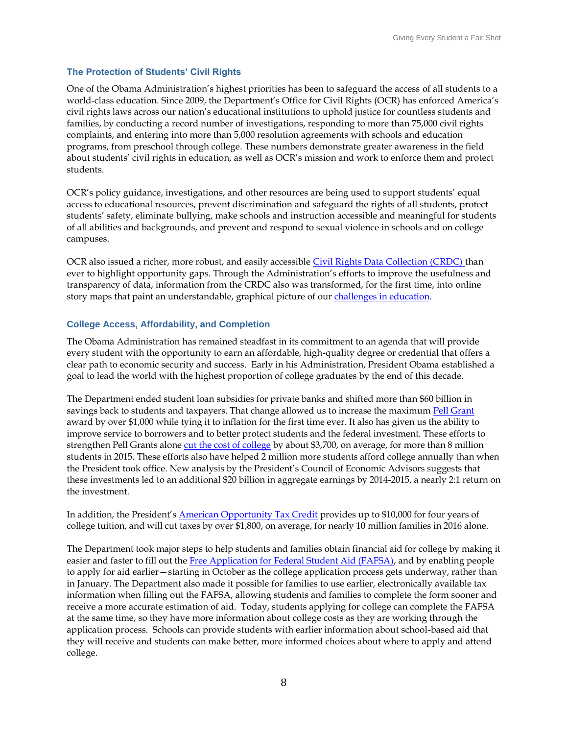#### **[The Protection of Students' Civil Rights](https://medium.com/giving-every-child-a-fair-shot/protecting-all-students-civil-rights-14b3cf484988#.g5rznm6x4)**

One of the Obama Administration's highest priorities has been to safeguard the access of all students to a world-class education. Since 2009, the Department's Office for Civil Rights (OCR) has enforced America's civil rights laws across our nation's educational institutions to uphold justice for countless students and families, by conducting a record number of investigations, responding to more than 75,000 civil rights complaints, and entering into more than 5,000 resolution agreements with schools and education programs, from preschool through college. These numbers demonstrate greater awareness in the field about students' civil rights in education, as well as OCR's mission and work to enforce them and protect students.

OCR's policy guidance, investigations, and other resources are being used to support students' equal access to educational resources, prevent discrimination and safeguard the rights of all students, protect students' safety, eliminate bullying, make schools and instruction accessible and meaningful for students of all abilities and backgrounds, and prevent and respond to sexual violence in schools and on college campuses.

OCR also issued a richer, more robust, and easily accessible [Civil Rights Data Collection \(CRDC\)](http://ocrdata.ed.gov/) than ever to highlight opportunity gaps. Through the Administration's efforts to improve the usefulness and transparency of data, information from the CRDC also was transformed, for the first time, into online story maps that paint an understandable, graphical picture of ou[r challenges in education.](http://www2.ed.gov/datastory/chronicabsenteeism.html)

#### **[College Access, Affordability, and Completion](https://medium.com/giving-every-child-a-fair-shot/increasing-college-access-affordability-and-completion-f50cadd5037#.dbbku8x4g)**

The Obama Administration has remained steadfast in its commitment to an agenda that will provide every student with the opportunity to earn an affordable, high-quality degree or credential that offers a clear path to economic security and success. Early in his Administration, President Obama established a goal to lead the world with the highest proportion of college graduates by the end of this decade.

The Department ended student loan subsidies for private banks and shifted more than \$60 billion in savings back to students and taxpayers. That change allowed us to increase the maximum [Pell Grant](https://studentaid.ed.gov/sa/types/grants-scholarships/pell) award by over \$1,000 while tying it to inflation for the first time ever. It also has given us the ability to improve service to borrowers and to better protect students and the federal investment. These efforts to strengthen Pell Grants alone [cut the cost of college](https://www.whitehouse.gov/sites/default/files/docs/150507_final_-_state-by-state_progress_report_on_college_affordability.pdf) by about \$3,700, on average, for more than 8 million students in 2015. These efforts also have helped 2 million more students afford college annually than when the President took office. New analysis by the President's Council of Economic Advisors suggests that these investments led to an additional \$20 billion in aggregate earnings by 2014-2015, a nearly 2:1 return on the investment.

In addition, the President's [American Opportunity Tax Credit](http://www.irs.gov/uac/American-Opportunity-Tax-Credit) provides up to \$10,000 for four years of college tuition, and will cut taxes by over \$1,800, on average, for nearly 10 million families in 2016 alone.

The Department took major steps to help students and families obtain financial aid for college by making it easier and faster to fill out the [Free Application for Federal Student Aid \(FAFSA\),](https://fafsa.ed.gov/) and by enabling people to apply for aid earlier—starting in October as the college application process gets underway, rather than in January. The Department also made it possible for families to use earlier, electronically available tax information when filling out the FAFSA, allowing students and families to complete the form sooner and receive a more accurate estimation of aid. Today, students applying for college can complete the FAFSA at the same time, so they have more information about college costs as they are working through the application process. Schools can provide students with earlier information about school-based aid that they will receive and students can make better, more informed choices about where to apply and attend college.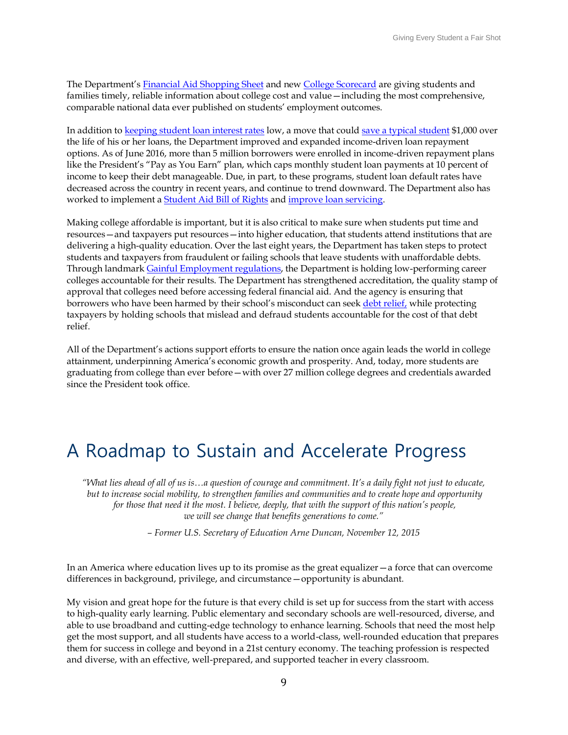The Department's [Financial Aid Shopping Sheet](http://www.ed.gov/news/press-releases/obama-administration-and-consumer-financial-protection-bureau-partner-promote-transparency-college-costs) and new [College Scorecard](https://collegescorecard.ed.gov/) are giving students and families timely, reliable information about college cost and value—including the most comprehensive, comparable national data ever published on students' employment outcomes.

In addition to [keeping student loan interest rates](https://www.whitehouse.gov/the-press-office/2013/07/23/fact-sheet-bipartisan-student-loan-deal-win-students) low, a move that could [save a typical student](https://www.whitehouse.gov/the-press-office/2016/04/26/fact-sheet-celebrating-progress-expanding-college-opportunity-every) \$1,000 over the life of his or her loans, the Department improved and expanded income-driven loan repayment options. As of June 2016, more than 5 million borrowers were enrolled in income-driven repayment plans like the President's "Pay as You Earn" plan, which caps monthly student loan payments at 10 percent of income to keep their debt manageable. Due, in part, to these programs, student loan default rates have decreased across the country in recent years, and continue to trend downward. The Department also has worked to implement a [Student Aid Bill of Rights](https://www.whitehouse.gov/the-press-office/2015/03/10/fact-sheet-student-aid-bill-rights-taking-action-ensure-strong-consumer-) and [improve loan servicing.](http://blog.ed.gov/2016/04/a-new-vision-for-serving-student-loan-borrowers/)

Making college affordable is important, but it is also critical to make sure when students put time and resources—and taxpayers put resources—into higher education, that students attend institutions that are delivering a high-quality education. Over the last eight years, the Department has taken steps to protect students and taxpayers from fraudulent or failing schools that leave students with unaffordable debts. Through landmark [Gainful Employment regulations,](http://www.ed.gov/category/keyword/Gainful-Employment) the Department is holding low-performing career colleges accountable for their results. The Department has strengthened accreditation, the quality stamp of approval that colleges need before accessing federal financial aid. And the agency is ensuring that borrowers who have been harmed by their school's misconduct can seek [debt relief,](http://www.ed.gov/news/press-releases/us-department-education-announces-final-regulations-protect-students-and-taxpayers-predatory-institutions) while protecting taxpayers by holding schools that mislead and defraud students accountable for the cost of that debt relief.

All of the Department's actions support efforts to ensure the nation once again leads the world in college attainment, underpinning America's economic growth and prosperity. And, today, more students are graduating from college than ever before—with over 27 million college degrees and credentials awarded since the President took office.

## A Roadmap to Sustain and Accelerate Progress

*"What lies ahead of all of us is…a question of courage and commitment. It's a daily fight not just to educate, but to increase social mobility, to strengthen families and communities and to create hope and opportunity for those that need it the most. I believe, deeply, that with the support of this nation's people, we will see change that benefits generations to come."*

*– Former U.S. Secretary of Education Arne Duncan, November 12, 2015*

In an America where education lives up to its promise as the great equalizer—a force that can overcome differences in background, privilege, and circumstance—opportunity is abundant.

My vision and great hope for the future is that every child is set up for success from the start with access to high-quality early learning. Public elementary and secondary schools are well-resourced, diverse, and able to use broadband and cutting-edge technology to enhance learning. Schools that need the most help get the most support, and all students have access to a world-class, well-rounded education that prepares them for success in college and beyond in a 21st century economy. The teaching profession is respected and diverse, with an effective, well-prepared, and supported teacher in every classroom.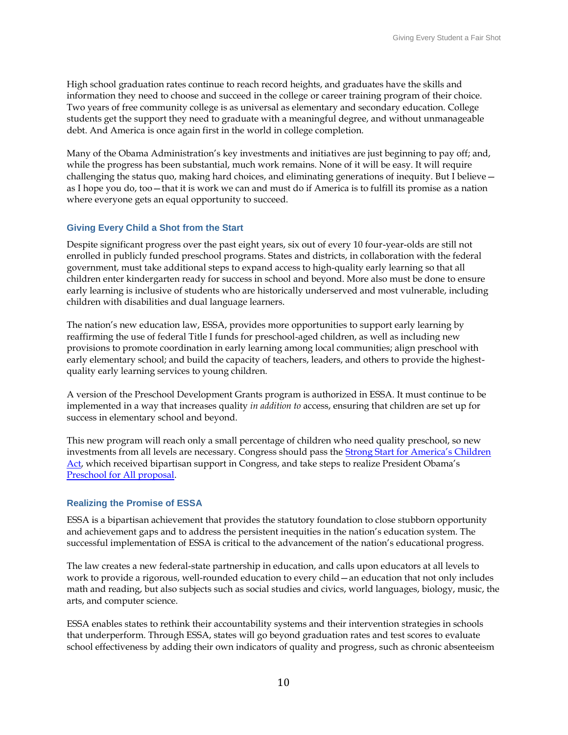High school graduation rates continue to reach record heights, and graduates have the skills and information they need to choose and succeed in the college or career training program of their choice. Two years of free community college is as universal as elementary and secondary education. College students get the support they need to graduate with a meaningful degree, and without unmanageable debt. And America is once again first in the world in college completion.

Many of the Obama Administration's key investments and initiatives are just beginning to pay off; and, while the progress has been substantial, much work remains. None of it will be easy. It will require challenging the status quo, making hard choices, and eliminating generations of inequity. But I believe as I hope you do, too—that it is work we can and must do if America is to fulfill its promise as a nation where everyone gets an equal opportunity to succeed.

#### **Giving Every Child a Shot from the Start**

Despite significant progress over the past eight years, six out of every 10 four-year-olds are still not enrolled in publicly funded preschool programs. States and districts, in collaboration with the federal government, must take additional steps to expand access to high-quality early learning so that all children enter kindergarten ready for success in school and beyond. More also must be done to ensure early learning is inclusive of students who are historically underserved and most vulnerable, including children with disabilities and dual language learners.

The nation's new education law, ESSA, provides more opportunities to support early learning by reaffirming the use of federal Title I funds for preschool-aged children, as well as including new provisions to promote coordination in early learning among local communities; align preschool with early elementary school; and build the capacity of teachers, leaders, and others to provide the highestquality early learning services to young children.

A version of the Preschool Development Grants program is authorized in ESSA. It must continue to be implemented in a way that increases quality *in addition to* access, ensuring that children are set up for success in elementary school and beyond.

This new program will reach only a small percentage of children who need quality preschool, so new investments from all levels are necessary. Congress should pass the [Strong Start for Amer](https://www.congress.gov/bill/114th-congress/senate-bill/1380)ica's Children [Act](https://www.congress.gov/bill/114th-congress/senate-bill/1380), which received bipartisan support in Congress, and take steps to realize President Obama's [Preschool for All proposal.](https://www.whitehouse.gov/the-press-office/2013/02/13/fact-sheet-president-obama-s-plan-early-education-all-americans)

#### **Realizing the Promise of ESSA**

ESSA is a bipartisan achievement that provides the statutory foundation to close stubborn opportunity and achievement gaps and to address the persistent inequities in the nation's education system. The successful implementation of ESSA is critical to the advancement of the nation's educational progress.

The law creates a new federal-state partnership in education, and calls upon educators at all levels to work to provide a rigorous, well-rounded education to every child—an education that not only includes math and reading, but also subjects such as social studies and civics, world languages, biology, music, the arts, and computer science.

ESSA enables states to rethink their accountability systems and their intervention strategies in schools that underperform. Through ESSA, states will go beyond graduation rates and test scores to evaluate school effectiveness by adding their own indicators of quality and progress, such as chronic absenteeism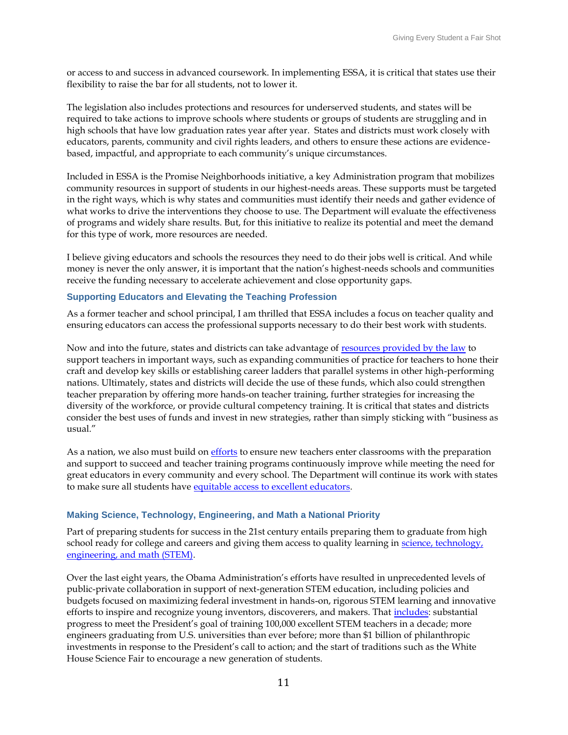or access to and success in advanced coursework. In implementing ESSA, it is critical that states use their flexibility to raise the bar for all students, not to lower it.

The legislation also includes protections and resources for underserved students, and states will be required to take actions to improve schools where students or groups of students are struggling and in high schools that have low graduation rates year after year. States and districts must work closely with educators, parents, community and civil rights leaders, and others to ensure these actions are evidencebased, impactful, and appropriate to each community's unique circumstances.

Included in ESSA is the Promise Neighborhoods initiative, a key Administration program that mobilizes community resources in support of students in our highest-needs areas. These supports must be targeted in the right ways, which is why states and communities must identify their needs and gather evidence of what works to drive the interventions they choose to use. The Department will evaluate the effectiveness of programs and widely share results. But, for this initiative to realize its potential and meet the demand for this type of work, more resources are needed.

I believe giving educators and schools the resources they need to do their jobs well is critical. And while money is never the only answer, it is important that the nation's highest-needs schools and communities receive the funding necessary to accelerate achievement and close opportunity gaps.

#### **Supporting Educators and Elevating the Teaching Profession**

As a former teacher and school principal, I am thrilled that ESSA includes a focus on teacher quality and ensuring educators can access the professional supports necessary to do their best work with students.

Now and into the future, states and districts can take advantage of [resources provided by the law](http://www.ed.gov/news/press-releases/fact-sheet-education-department-encourages-support-educators-and-teaching-profession-through-title-ii-part) to support teachers in important ways, such as expanding communities of practice for teachers to hone their craft and develop key skills or establishing career ladders that parallel systems in other high-performing nations. Ultimately, states and districts will decide the use of these funds, which also could strengthen teacher preparation by offering more hands-on teacher training, further strategies for increasing the diversity of the workforce, or provide cultural competency training. It is critical that states and districts consider the best uses of funds and invest in new strategies, rather than simply sticking with "business as usual."

As a nation, we also must build o[n efforts](http://www.ed.gov/news/press-releases/education-department-releases-final-teacher-preparation-regulations?utm_name=) to ensure new teachers enter classrooms with the preparation and support to succeed and teacher training programs continuously improve while meeting the need for great educators in every community and every school. The Department will continue its work with states to make sure all students hav[e equitable access to excellent educators.](http://www2.ed.gov/programs/titleiparta/resources.html)

#### **Making Science, Technology, Engineering, and Math a National Priority**

Part of preparing students for success in the 21st century entails preparing them to graduate from high school ready for college and careers and giving them access to quality learning in science, technology, [engineering, and math \(STEM\).](https://medium.com/giving-every-child-a-fair-shot/making-science-technology-engineering-and-math-education-a-national-priority-6531ef9adbdf#.zfcfl9bj9)

Over the last eight years, the Obama Administration's efforts have resulted in unprecedented levels of public-private collaboration in support of next-generation STEM education, including policies and budgets focused on maximizing federal investment in hands-on, rigorous STEM learning and innovative efforts to inspire and recognize young inventors, discoverers, and makers. That *includes*: substantial progress to meet the President's goal of training 100,000 excellent STEM teachers in a decade; more engineers graduating from U.S. universities than ever before; more than \$1 billion of philanthropic investments in response to the President's call to action; and the start of traditions such as the White House Science Fair to encourage a new generation of students.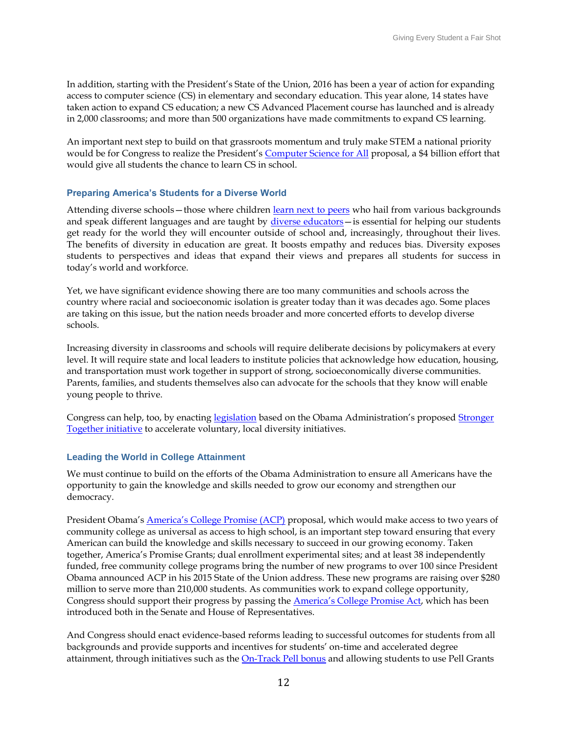In addition, starting with the President's State of the Union, 2016 has been a year of action for expanding access to computer science (CS) in elementary and secondary education. This year alone, 14 states have taken action to expand CS education; a new CS Advanced Placement course has launched and is already in 2,000 classrooms; and more than 500 organizations have made commitments to expand CS learning.

An important next step to build on that grassroots momentum and truly make STEM a national priority would be for Congress to realize the President's [Computer Science for All](https://www.whitehouse.gov/blog/2016/01/30/computer-science-all) proposal, a \$4 billion effort that would give all students the chance to learn CS in school.

#### **Preparing America's Students for a Diverse World**

Attending diverse schools - those where children [learn next to peers](http://www.ed.gov/news/speeches/stronger-together-need-diversity-americas-schools) who hail from various backgrounds and speak different languages and are taught by [diverse educators](http://www.ed.gov/news/press-releases/report-state-racial-diversity-educator-workforce)—is essential for helping our students get ready for the world they will encounter outside of school and, increasingly, throughout their lives. The benefits of diversity in education are great. It boosts empathy and reduces bias. Diversity exposes students to perspectives and ideas that expand their views and prepares all students for success in today's world and workforce.

Yet, we have significant evidence showing there are too many communities and schools across the country where racial and socioeconomic isolation is greater today than it was decades ago. Some places are taking on this issue, but the nation needs broader and more concerted efforts to develop diverse schools.

Increasing diversity in classrooms and schools will require deliberate decisions by policymakers at every level. It will require state and local leaders to institute policies that acknowledge how education, housing, and transportation must work together in support of strong, socioeconomically diverse communities. Parents, families, and students themselves also can advocate for the schools that they know will enable young people to thrive.

Congress can help, too, by enacting [legislation](http://www.ed.gov/news/press-releases/murphy-fudge-introduce-stronger-together-school-diversity-act-2016) based on the Obama Administration's proposed Stronger [Together initiative](http://www.ed.gov/news/press-releases/president-obamas-2017-budget-seeks-expand-educational-opportunity-all-students) to accelerate voluntary, local diversity initiatives.

#### **Leading the World in College Attainment**

We must continue to build on the efforts of the Obama Administration to ensure all Americans have the opportunity to gain the knowledge and skills needed to grow our economy and strengthen our democracy.

President Obama's **America's College Promise (ACP)** proposal, which would make access to two years of community college as universal as access to high school, is an important step toward ensuring that every American can build the knowledge and skills necessary to succeed in our growing economy. Taken together, America's Promise Grants; dual enrollment experimental sites; and at least 38 independently funded, free community college programs bring the number of new programs to over 100 since President Obama announced ACP in his 2015 State of the Union address. These new programs are raising over \$280 million to serve more than 210,000 students. As communities work to expand college opportunity, Congress should support their progress by passing the **[America's College Promise Act](http://democrats-edworkforce.house.gov/media/press-releases/scott-baldwin-introduce-bill-to-make-higher-education-more-accessible-and-affordable)**, which has been introduced both in the Senate and House of Representatives.

And Congress should enact evidence-based reforms leading to successful outcomes for students from all backgrounds and provide supports and incentives for students' on-time and accelerated degree attainment, through initiatives such as the [On-Track Pell bonus](http://www.ed.gov/news/press-releases/fact-sheet-helping-more-americans-complete-college-new-proposals-success) and allowing students to use Pell Grants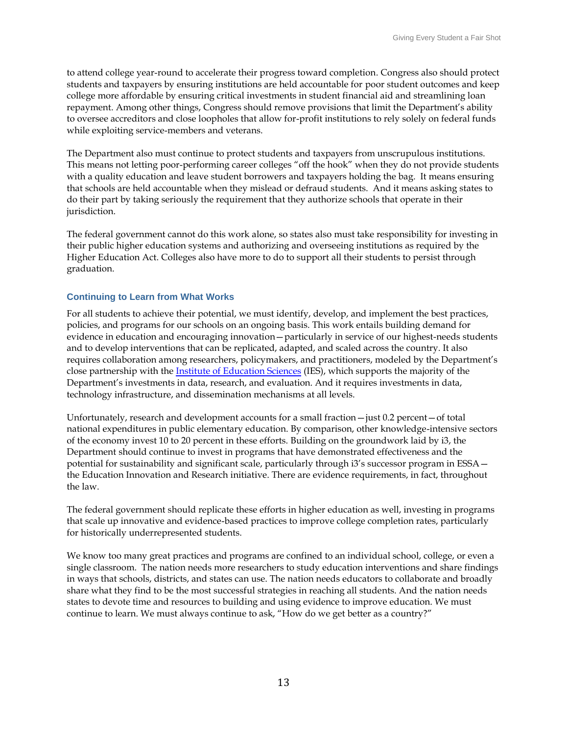to attend college year-round to accelerate their progress toward completion. Congress also should protect students and taxpayers by ensuring institutions are held accountable for poor student outcomes and keep college more affordable by ensuring critical investments in student financial aid and streamlining loan repayment. Among other things, Congress should remove provisions that limit the Department's ability to oversee accreditors and close loopholes that allow for-profit institutions to rely solely on federal funds while exploiting service-members and veterans.

The Department also must continue to protect students and taxpayers from unscrupulous institutions. This means not letting poor-performing career colleges "off the hook" when they do not provide students with a quality education and leave student borrowers and taxpayers holding the bag. It means ensuring that schools are held accountable when they mislead or defraud students. And it means asking states to do their part by taking seriously the requirement that they authorize schools that operate in their jurisdiction.

The federal government cannot do this work alone, so states also must take responsibility for investing in their public higher education systems and authorizing and overseeing institutions as required by the Higher Education Act. Colleges also have more to do to support all their students to persist through graduation.

#### **Continuing to Learn from What Works**

For all students to achieve their potential, we must identify, develop, and implement the best practices, policies, and programs for our schools on an ongoing basis. This work entails building demand for evidence in education and encouraging innovation—particularly in service of our highest-needs students and to develop interventions that can be replicated, adapted, and scaled across the country. It also requires collaboration among researchers, policymakers, and practitioners, modeled by the Department's close partnership with the [Institute of Education Sciences](https://ies.ed.gov/) (IES), which supports the majority of the Department's investments in data, research, and evaluation. And it requires investments in data, technology infrastructure, and dissemination mechanisms at all levels.

Unfortunately, research and development accounts for a small fraction—just 0.2 percent—of total national expenditures in public elementary education. By comparison, other knowledge-intensive sectors of the economy invest 10 to 20 percent in these efforts. Building on the groundwork laid by i3, the Department should continue to invest in programs that have demonstrated effectiveness and the potential for sustainability and significant scale, particularly through i3's successor program in ESSA the Education Innovation and Research initiative. There are evidence requirements, in fact, throughout the law.

The federal government should replicate these efforts in higher education as well, investing in programs that scale up innovative and evidence-based practices to improve college completion rates, particularly for historically underrepresented students.

We know too many great practices and programs are confined to an individual school, college, or even a single classroom. The nation needs more researchers to study education interventions and share findings in ways that schools, districts, and states can use. The nation needs educators to collaborate and broadly share what they find to be the most successful strategies in reaching all students. And the nation needs states to devote time and resources to building and using evidence to improve education. We must continue to learn. We must always continue to ask, "How do we get better as a country?"